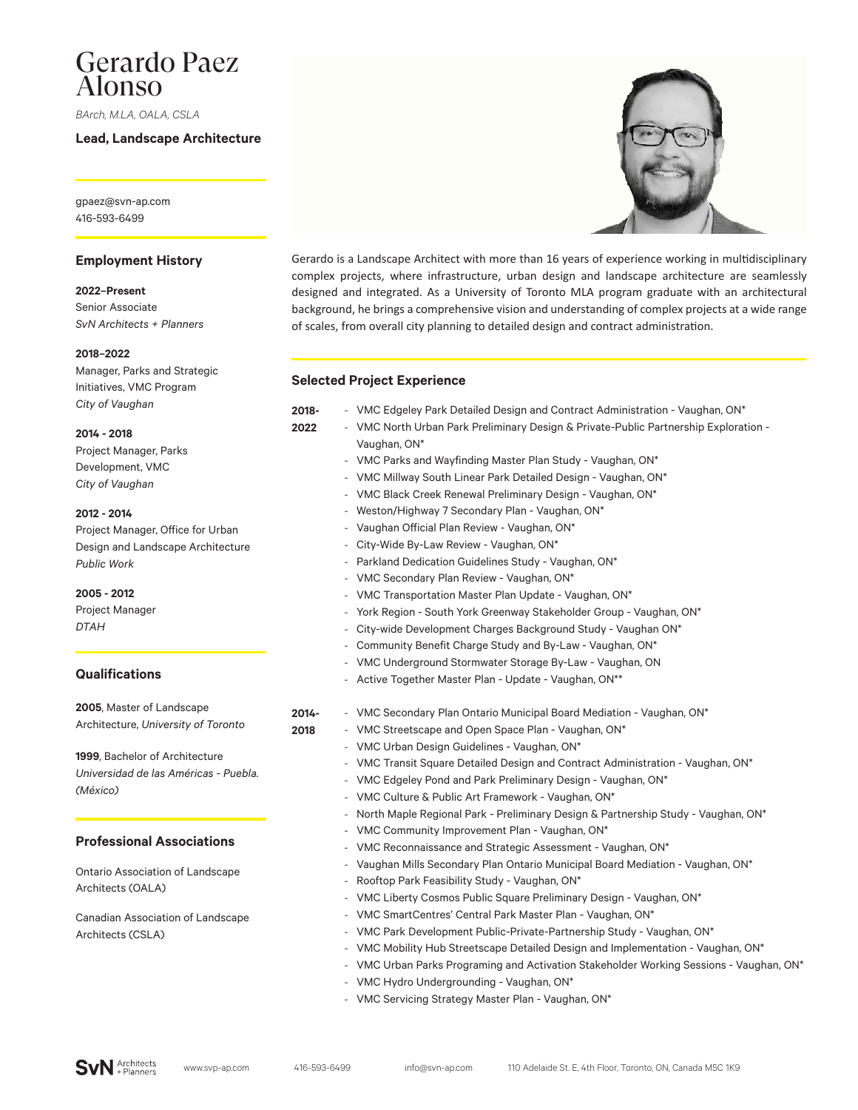# Gerardo Paez Alonso

*BArch, M.LA, OALA, CSLA*

**Lead, Landscape Architecture**

gpaez@svn-ap.com 416-593-6499

### **Employment History**

**2022–Present** Senior Associate *SvN Architects + Planners*

#### **2018–2022**

Manager, Parks and Strategic Initiatives, VMC Program *City of Vaughan*

**2014 - 2018**

Project Manager, Parks Development, VMC *City of Vaughan*

#### **2012 - 2014**

Project Manager, Office for Urban Design and Landscape Architecture *Public Work*

**2005 - 2012** Project Manager

### *DTAH*

# **Qualifications**

**2005**, Master of Landscape Architecture, *University of Toronto*

**1999**, Bachelor of Architecture *Universidad de las Américas - Puebla. (México)*

# **Professional Associations**

Ontario Association of Landscape Architects (OALA)

Canadian Association of Landscape Architects (CSLA)



Gerardo is a Landscape Architect with more than 16 years of experience working in multidisciplinary complex projects, where infrastructure, urban design and landscape architecture are seamlessly designed and integrated. As a University of Toronto MLA program graduate with an architectural background, he brings a comprehensive vision and understanding of complex projects at a wide range of scales, from overall city planning to detailed design and contract administration.

## **Selected Project Experience**

**2022**

**2018**

**2018-** - VMC Edgeley Park Detailed Design and Contract Administration - Vaughan, ON\*

- VMC North Urban Park Preliminary Design & Private-Public Partnership Exploration Vaughan, ON\*
	- VMC Parks and Wayfinding Master Plan Study Vaughan, ON\*
	- VMC Millway South Linear Park Detailed Design Vaughan, ON\*
	- VMC Black Creek Renewal Preliminary Design Vaughan, ON\*
	- Weston/Highway 7 Secondary Plan Vaughan, ON\*
	- Vaughan Official Plan Review Vaughan, ON\*
	- City-Wide By-Law Review Vaughan, ON\*
	- Parkland Dedication Guidelines Study Vaughan, ON\*
	- VMC Secondary Plan Review Vaughan, ON\*
	- VMC Transportation Master Plan Update Vaughan, ON\*
	- York Region South York Greenway Stakeholder Group Vaughan, ON\*
	- City-wide Development Charges Background Study Vaughan ON\*
	- Community Benefit Charge Study and By-Law Vaughan, ON\*
	- VMC Underground Stormwater Storage By-Law Vaughan, ON
	- Active Together Master Plan Update Vaughan, ON\*\*
- **2014-** - VMC Secondary Plan Ontario Municipal Board Mediation - Vaughan, ON\*
	- VMC Streetscape and Open Space Plan Vaughan, ON\*
	- VMC Urban Design Guidelines Vaughan, ON\*
	- VMC Transit Square Detailed Design and Contract Administration Vaughan, ON\*
	- VMC Edgeley Pond and Park Preliminary Design Vaughan, ON\*
	- VMC Culture & Public Art Framework Vaughan, ON\*
	- North Maple Regional Park Preliminary Design & Partnership Study Vaughan, ON\*
	- VMC Community Improvement Plan Vaughan, ON\*
	- VMC Reconnaissance and Strategic Assessment Vaughan, ON\*
	- Vaughan Mills Secondary Plan Ontario Municipal Board Mediation Vaughan, ON\*
	- Rooftop Park Feasibility Study Vaughan, ON\*
	- VMC Liberty Cosmos Public Square Preliminary Design Vaughan, ON\*
	- VMC SmartCentres' Central Park Master Plan Vaughan, ON\*
	- VMC Park Development Public-Private-Partnership Study Vaughan, ON\*
	- VMC Mobility Hub Streetscape Detailed Design and Implementation Vaughan, ON\*
	- VMC Urban Parks Programing and Activation Stakeholder Working Sessions Vaughan, ON\* - VMC Hydro Undergrounding - Vaughan, ON\*
	- VMC Servicing Strategy Master Plan Vaughan, ON\*